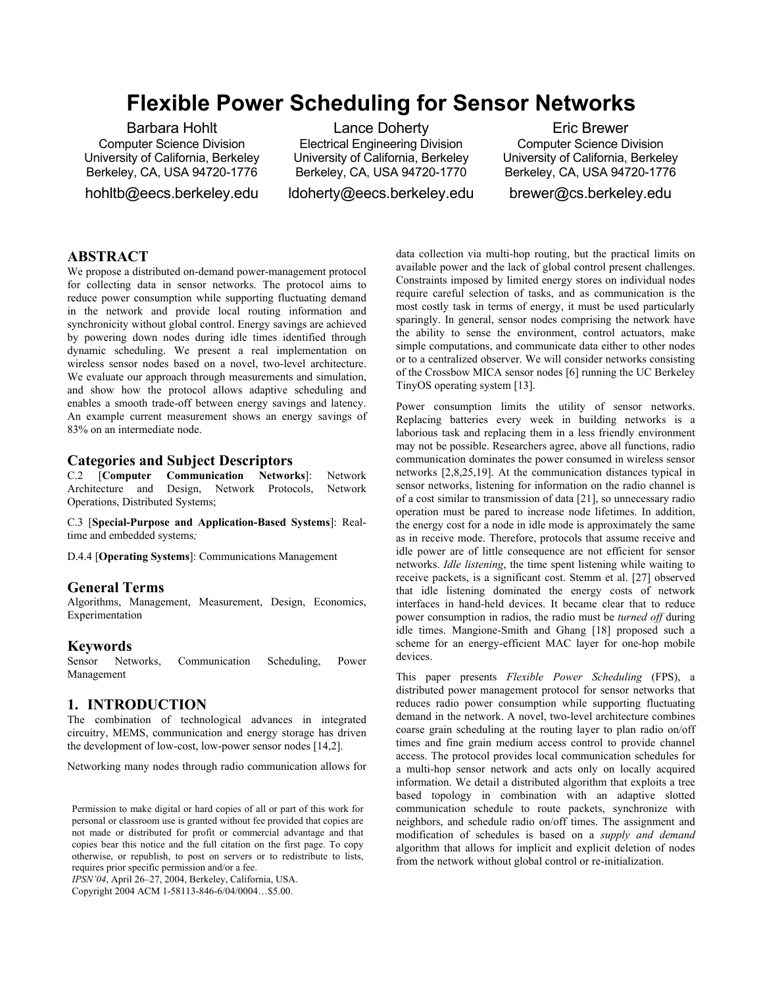# **Flexible Power Scheduling for Sensor Networks**

Barbara Hohlt Computer Science Division University of California, Berkeley Berkeley, CA, USA 94720-1776

hohltb@eecs.berkeley.edu

Lance Doherty Electrical Engineering Division University of California, Berkeley Berkeley, CA, USA 94720-1770

ldoherty@eecs.berkeley.edu

Eric Brewer Computer Science Division University of California, Berkeley Berkeley, CA, USA 94720-1776

brewer@cs.berkeley.edu

## **ABSTRACT**

We propose a distributed on-demand power-management protocol for collecting data in sensor networks. The protocol aims to reduce power consumption while supporting fluctuating demand in the network and provide local routing information and synchronicity without global control. Energy savings are achieved by powering down nodes during idle times identified through dynamic scheduling. We present a real implementation on wireless sensor nodes based on a novel, two-level architecture. We evaluate our approach through measurements and simulation, and show how the protocol allows adaptive scheduling and enables a smooth trade-off between energy savings and latency. An example current measurement shows an energy savings of 83% on an intermediate node.

### **Categories and Subject Descriptors**

C.2 [**Computer Communication Networks**]: Network Architecture and Design, Network Protocols, Network Operations, Distributed Systems;

C.3 [**Special-Purpose and Application-Based Systems**]: Realtime and embedded systems*;* 

D.4.4 [**Operating Systems**]: Communications Management

### **General Terms**

Algorithms, Management, Measurement, Design, Economics, Experimentation

#### **Keywords**

Sensor Networks, Communication Scheduling, Power Management

### **1. INTRODUCTION**

The combination of technological advances in integrated circuitry, MEMS, communication and energy storage has driven the development of low-cost, low-power sensor nodes [14,2].

Networking many nodes through radio communication allows for

Permission to make digital or hard copies of all or part of this work for personal or classroom use is granted without fee provided that copies are not made or distributed for profit or commercial advantage and that copies bear this notice and the full citation on the first page. To copy otherwise, or republish, to post on servers or to redistribute to lists, requires prior specific permission and/or a fee.

*IPSN'04*, April 26–27, 2004, Berkeley, California, USA.

Copyright 2004 ACM 1-58113-846-6/04/0004…\$5.00.

data collection via multi-hop routing, but the practical limits on available power and the lack of global control present challenges. Constraints imposed by limited energy stores on individual nodes require careful selection of tasks, and as communication is the most costly task in terms of energy, it must be used particularly sparingly. In general, sensor nodes comprising the network have the ability to sense the environment, control actuators, make simple computations, and communicate data either to other nodes or to a centralized observer. We will consider networks consisting of the Crossbow MICA sensor nodes [6] running the UC Berkeley TinyOS operating system [13].

Power consumption limits the utility of sensor networks. Replacing batteries every week in building networks is a laborious task and replacing them in a less friendly environment may not be possible. Researchers agree, above all functions, radio communication dominates the power consumed in wireless sensor networks [2,8,25,19]. At the communication distances typical in sensor networks, listening for information on the radio channel is of a cost similar to transmission of data [21], so unnecessary radio operation must be pared to increase node lifetimes. In addition, the energy cost for a node in idle mode is approximately the same as in receive mode. Therefore, protocols that assume receive and idle power are of little consequence are not efficient for sensor networks. *Idle listening*, the time spent listening while waiting to receive packets, is a significant cost. Stemm et al. [27] observed that idle listening dominated the energy costs of network interfaces in hand-held devices. It became clear that to reduce power consumption in radios, the radio must be *turned off* during idle times. Mangione-Smith and Ghang [18] proposed such a scheme for an energy-efficient MAC layer for one-hop mobile devices.

This paper presents *Flexible Power Scheduling* (FPS), a distributed power management protocol for sensor networks that reduces radio power consumption while supporting fluctuating demand in the network. A novel, two-level architecture combines coarse grain scheduling at the routing layer to plan radio on/off times and fine grain medium access control to provide channel access. The protocol provides local communication schedules for a multi-hop sensor network and acts only on locally acquired information. We detail a distributed algorithm that exploits a tree based topology in combination with an adaptive slotted communication schedule to route packets, synchronize with neighbors, and schedule radio on/off times. The assignment and modification of schedules is based on a *supply and demand* algorithm that allows for implicit and explicit deletion of nodes from the network without global control or re-initialization.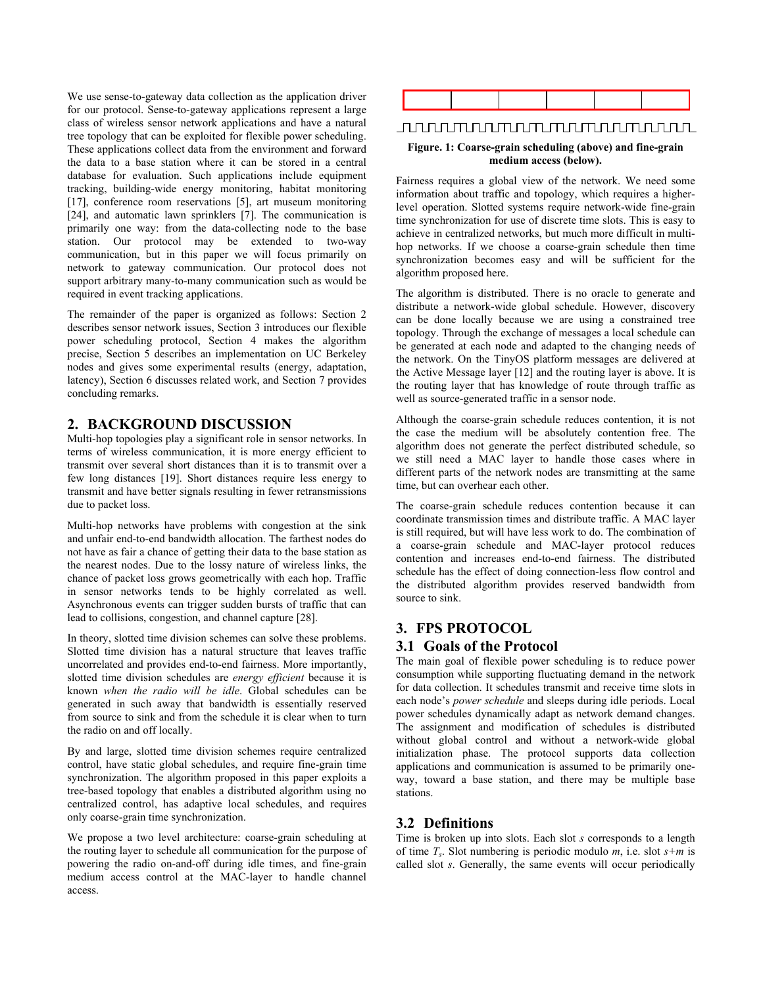We use sense-to-gateway data collection as the application driver for our protocol. Sense-to-gateway applications represent a large class of wireless sensor network applications and have a natural tree topology that can be exploited for flexible power scheduling. These applications collect data from the environment and forward the data to a base station where it can be stored in a central database for evaluation. Such applications include equipment tracking, building-wide energy monitoring, habitat monitoring [17], conference room reservations [5], art museum monitoring [24], and automatic lawn sprinklers [7]. The communication is primarily one way: from the data-collecting node to the base station. Our protocol may be extended to two-way communication, but in this paper we will focus primarily on network to gateway communication. Our protocol does not support arbitrary many-to-many communication such as would be required in event tracking applications.

The remainder of the paper is organized as follows: Section 2 describes sensor network issues, Section 3 introduces our flexible power scheduling protocol, Section 4 makes the algorithm precise, Section 5 describes an implementation on UC Berkeley nodes and gives some experimental results (energy, adaptation, latency), Section 6 discusses related work, and Section 7 provides concluding remarks.

# **2. BACKGROUND DISCUSSION**

Multi-hop topologies play a significant role in sensor networks. In terms of wireless communication, it is more energy efficient to transmit over several short distances than it is to transmit over a few long distances [19]. Short distances require less energy to transmit and have better signals resulting in fewer retransmissions due to packet loss.

Multi-hop networks have problems with congestion at the sink and unfair end-to-end bandwidth allocation. The farthest nodes do not have as fair a chance of getting their data to the base station as the nearest nodes. Due to the lossy nature of wireless links, the chance of packet loss grows geometrically with each hop. Traffic in sensor networks tends to be highly correlated as well. Asynchronous events can trigger sudden bursts of traffic that can lead to collisions, congestion, and channel capture [28].

In theory, slotted time division schemes can solve these problems. Slotted time division has a natural structure that leaves traffic uncorrelated and provides end-to-end fairness. More importantly, slotted time division schedules are *energy efficient* because it is known *when the radio will be idle*. Global schedules can be generated in such away that bandwidth is essentially reserved from source to sink and from the schedule it is clear when to turn the radio on and off locally.

By and large, slotted time division schemes require centralized control, have static global schedules, and require fine-grain time synchronization. The algorithm proposed in this paper exploits a tree-based topology that enables a distributed algorithm using no centralized control, has adaptive local schedules, and requires only coarse-grain time synchronization.

We propose a two level architecture: coarse-grain scheduling at the routing layer to schedule all communication for the purpose of powering the radio on-and-off during idle times, and fine-grain medium access control at the MAC-layer to handle channel access.



<u>\_ՈՄՄԱՄՄԱՄՄԱՄՄԱՄՄԱՄՄԱՄԱՄԱՄԱՄԱՄԱՄԱՄ</u>

## **Figure. 1: Coarse-grain scheduling (above) and fine-grain medium access (below).**

Fairness requires a global view of the network. We need some information about traffic and topology, which requires a higherlevel operation. Slotted systems require network-wide fine-grain time synchronization for use of discrete time slots. This is easy to achieve in centralized networks, but much more difficult in multihop networks. If we choose a coarse-grain schedule then time synchronization becomes easy and will be sufficient for the algorithm proposed here.

The algorithm is distributed. There is no oracle to generate and distribute a network-wide global schedule. However, discovery can be done locally because we are using a constrained tree topology. Through the exchange of messages a local schedule can be generated at each node and adapted to the changing needs of the network. On the TinyOS platform messages are delivered at the Active Message layer [12] and the routing layer is above. It is the routing layer that has knowledge of route through traffic as well as source-generated traffic in a sensor node.

Although the coarse-grain schedule reduces contention, it is not the case the medium will be absolutely contention free. The algorithm does not generate the perfect distributed schedule, so we still need a MAC layer to handle those cases where in different parts of the network nodes are transmitting at the same time, but can overhear each other.

The coarse-grain schedule reduces contention because it can coordinate transmission times and distribute traffic. A MAC layer is still required, but will have less work to do. The combination of a coarse-grain schedule and MAC-layer protocol reduces contention and increases end-to-end fairness. The distributed schedule has the effect of doing connection-less flow control and the distributed algorithm provides reserved bandwidth from source to sink.

# **3. FPS PROTOCOL**

# **3.1 Goals of the Protocol**

The main goal of flexible power scheduling is to reduce power consumption while supporting fluctuating demand in the network for data collection. It schedules transmit and receive time slots in each node's *power schedule* and sleeps during idle periods. Local power schedules dynamically adapt as network demand changes. The assignment and modification of schedules is distributed without global control and without a network-wide global initialization phase. The protocol supports data collection applications and communication is assumed to be primarily oneway, toward a base station, and there may be multiple base stations.

# **3.2 Definitions**

Time is broken up into slots. Each slot *s* corresponds to a length of time  $T_s$ . Slot numbering is periodic modulo  $\hat{m}$ , i.e. slot  $s+m$  is called slot *s*. Generally, the same events will occur periodically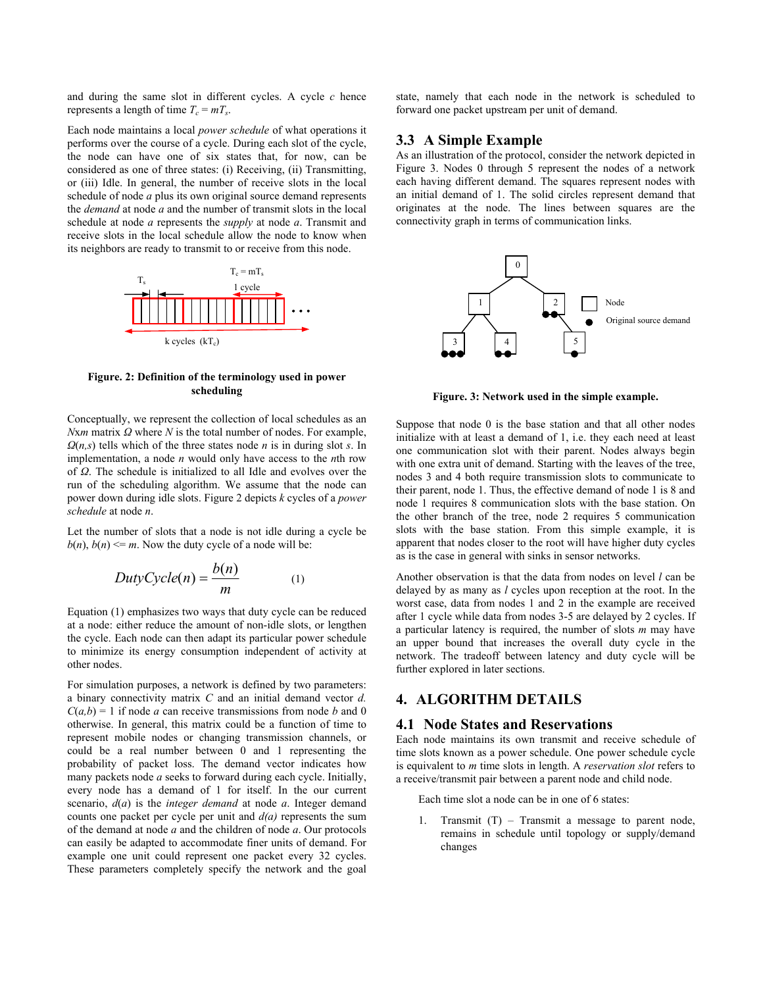and during the same slot in different cycles. A cycle *c* hence represents a length of time  $T_c = mT_s$ .

Each node maintains a local *power schedule* of what operations it performs over the course of a cycle. During each slot of the cycle, the node can have one of six states that, for now, can be considered as one of three states: (i) Receiving, (ii) Transmitting, or (iii) Idle. In general, the number of receive slots in the local schedule of node *a* plus its own original source demand represents the *demand* at node *a* and the number of transmit slots in the local schedule at node *a* represents the *supply* at node *a*. Transmit and receive slots in the local schedule allow the node to know when its neighbors are ready to transmit to or receive from this node.



**Figure. 2: Definition of the terminology used in power scheduling** 

Conceptually, we represent the collection of local schedules as an *N*x*m* matrix *Ω* where *N* is the total number of nodes. For example, *Ω*(*n,s*) tells which of the three states node *n* is in during slot *s*. In implementation, a node *n* would only have access to the *n*th row of *Ω*. The schedule is initialized to all Idle and evolves over the run of the scheduling algorithm. We assume that the node can power down during idle slots. Figure 2 depicts *k* cycles of a *power schedule* at node *n*.

Let the number of slots that a node is not idle during a cycle be  $b(n)$ ,  $b(n) \leq m$ . Now the duty cycle of a node will be:

$$
DutyCycle(n) = \frac{b(n)}{m}
$$
 (1)

Equation (1) emphasizes two ways that duty cycle can be reduced at a node: either reduce the amount of non-idle slots, or lengthen the cycle. Each node can then adapt its particular power schedule to minimize its energy consumption independent of activity at other nodes.

For simulation purposes, a network is defined by two parameters: a binary connectivity matrix *C* and an initial demand vector *d.*   $C(a,b) = 1$  if node *a* can receive transmissions from node *b* and 0 otherwise. In general, this matrix could be a function of time to represent mobile nodes or changing transmission channels, or could be a real number between 0 and 1 representing the probability of packet loss. The demand vector indicates how many packets node *a* seeks to forward during each cycle. Initially, every node has a demand of 1 for itself. In the our current scenario, *d*(*a*) is the *integer demand* at node *a*. Integer demand counts one packet per cycle per unit and *d(a)* represents the sum of the demand at node *a* and the children of node *a*. Our protocols can easily be adapted to accommodate finer units of demand. For example one unit could represent one packet every 32 cycles. These parameters completely specify the network and the goal

state, namely that each node in the network is scheduled to forward one packet upstream per unit of demand.

# **3.3 A Simple Example**

As an illustration of the protocol, consider the network depicted in Figure 3. Nodes 0 through 5 represent the nodes of a network each having different demand. The squares represent nodes with an initial demand of 1. The solid circles represent demand that originates at the node. The lines between squares are the connectivity graph in terms of communication links.



**Figure. 3: Network used in the simple example.** 

Suppose that node 0 is the base station and that all other nodes initialize with at least a demand of 1, i.e. they each need at least one communication slot with their parent. Nodes always begin with one extra unit of demand. Starting with the leaves of the tree, nodes 3 and 4 both require transmission slots to communicate to their parent, node 1. Thus, the effective demand of node 1 is 8 and node 1 requires 8 communication slots with the base station. On the other branch of the tree, node 2 requires 5 communication slots with the base station. From this simple example, it is apparent that nodes closer to the root will have higher duty cycles as is the case in general with sinks in sensor networks.

Another observation is that the data from nodes on level *l* can be delayed by as many as *l* cycles upon reception at the root. In the worst case, data from nodes 1 and 2 in the example are received after 1 cycle while data from nodes 3-5 are delayed by 2 cycles. If a particular latency is required, the number of slots *m* may have an upper bound that increases the overall duty cycle in the network. The tradeoff between latency and duty cycle will be further explored in later sections.

# **4. ALGORITHM DETAILS**

### **4.1 Node States and Reservations**

Each node maintains its own transmit and receive schedule of time slots known as a power schedule. One power schedule cycle is equivalent to *m* time slots in length. A *reservation slot* refers to a receive/transmit pair between a parent node and child node.

Each time slot a node can be in one of 6 states:

1. Transmit (T) – Transmit a message to parent node, remains in schedule until topology or supply/demand changes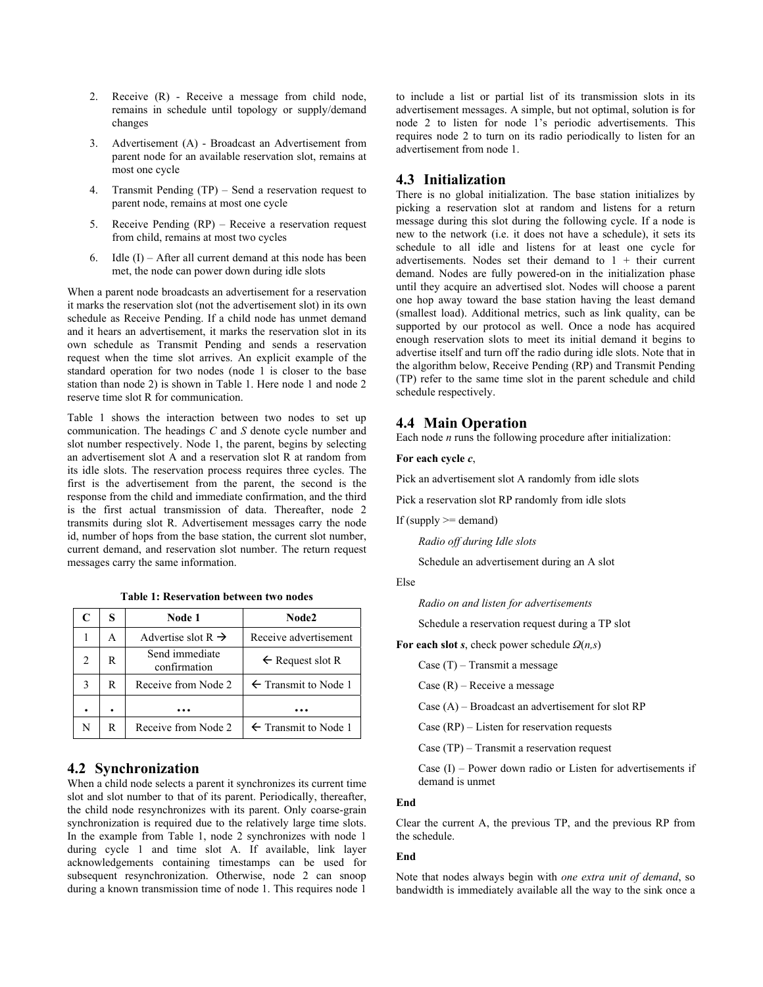- 2. Receive (R) Receive a message from child node, remains in schedule until topology or supply/demand changes
- 3. Advertisement (A) Broadcast an Advertisement from parent node for an available reservation slot, remains at most one cycle
- 4. Transmit Pending (TP) Send a reservation request to parent node, remains at most one cycle
- 5. Receive Pending (RP) Receive a reservation request from child, remains at most two cycles
- 6. Idle  $(I)$  After all current demand at this node has been met, the node can power down during idle slots

When a parent node broadcasts an advertisement for a reservation it marks the reservation slot (not the advertisement slot) in its own schedule as Receive Pending. If a child node has unmet demand and it hears an advertisement, it marks the reservation slot in its own schedule as Transmit Pending and sends a reservation request when the time slot arrives. An explicit example of the standard operation for two nodes (node 1 is closer to the base station than node 2) is shown in Table 1. Here node 1 and node 2 reserve time slot R for communication.

Table 1 shows the interaction between two nodes to set up communication. The headings *C* and *S* denote cycle number and slot number respectively. Node 1, the parent, begins by selecting an advertisement slot A and a reservation slot R at random from its idle slots. The reservation process requires three cycles. The first is the advertisement from the parent, the second is the response from the child and immediate confirmation, and the third is the first actual transmission of data. Thereafter, node 2 transmits during slot R. Advertisement messages carry the node id, number of hops from the base station, the current slot number, current demand, and reservation slot number. The return request messages carry the same information.

| C | S | Node 1                         | Node2                           |  |
|---|---|--------------------------------|---------------------------------|--|
|   | A | Advertise slot $R \rightarrow$ | Receive advertisement           |  |
| 2 | R | Send immediate<br>confirmation | $\leftarrow$ Request slot R     |  |
| 3 | R | Receive from Node 2            | $\leftarrow$ Transmit to Node 1 |  |
|   |   |                                |                                 |  |
|   | R | Receive from Node 2            | $\leftarrow$ Transmit to Node 1 |  |

**Table 1: Reservation between two nodes** 

# **4.2 Synchronization**

When a child node selects a parent it synchronizes its current time slot and slot number to that of its parent. Periodically, thereafter, the child node resynchronizes with its parent. Only coarse-grain synchronization is required due to the relatively large time slots. In the example from Table 1, node 2 synchronizes with node 1 during cycle 1 and time slot A. If available, link layer acknowledgements containing timestamps can be used for subsequent resynchronization. Otherwise, node 2 can snoop during a known transmission time of node 1. This requires node 1

to include a list or partial list of its transmission slots in its advertisement messages. A simple, but not optimal, solution is for node 2 to listen for node 1's periodic advertisements. This requires node 2 to turn on its radio periodically to listen for an advertisement from node 1.

# **4.3 Initialization**

There is no global initialization. The base station initializes by picking a reservation slot at random and listens for a return message during this slot during the following cycle. If a node is new to the network (i.e. it does not have a schedule), it sets its schedule to all idle and listens for at least one cycle for advertisements. Nodes set their demand to  $1 +$  their current demand. Nodes are fully powered-on in the initialization phase until they acquire an advertised slot. Nodes will choose a parent one hop away toward the base station having the least demand (smallest load). Additional metrics, such as link quality, can be supported by our protocol as well. Once a node has acquired enough reservation slots to meet its initial demand it begins to advertise itself and turn off the radio during idle slots. Note that in the algorithm below, Receive Pending (RP) and Transmit Pending (TP) refer to the same time slot in the parent schedule and child schedule respectively.

### **4.4 Main Operation**

Each node *n* runs the following procedure after initialization:

#### **For each cycle** *c*,

Pick an advertisement slot A randomly from idle slots

Pick a reservation slot RP randomly from idle slots

If (supply  $>=$  demand)

*Radio off during Idle slots* 

Schedule an advertisement during an A slot

Else

*Radio on and listen for advertisements* 

Schedule a reservation request during a TP slot

For each slot *s*, check power schedule  $Q(n,s)$ 

Case (T) – Transmit a message

Case (R) – Receive a message

Case (A) – Broadcast an advertisement for slot RP

Case (RP) – Listen for reservation requests

Case (TP) – Transmit a reservation request

Case (I) – Power down radio or Listen for advertisements if demand is unmet

#### **End**

Clear the current A, the previous TP, and the previous RP from the schedule.

#### **End**

Note that nodes always begin with *one extra unit of demand*, so bandwidth is immediately available all the way to the sink once a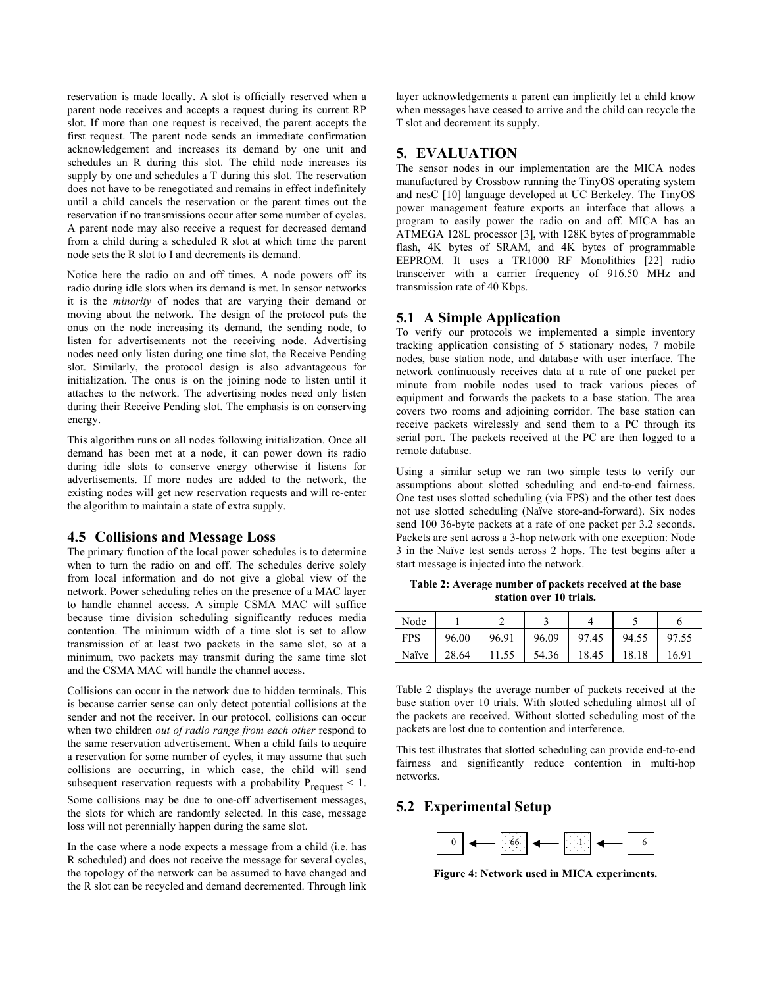reservation is made locally. A slot is officially reserved when a parent node receives and accepts a request during its current RP slot. If more than one request is received, the parent accepts the first request. The parent node sends an immediate confirmation acknowledgement and increases its demand by one unit and schedules an R during this slot. The child node increases its supply by one and schedules a T during this slot. The reservation does not have to be renegotiated and remains in effect indefinitely until a child cancels the reservation or the parent times out the reservation if no transmissions occur after some number of cycles. A parent node may also receive a request for decreased demand from a child during a scheduled R slot at which time the parent node sets the R slot to I and decrements its demand.

Notice here the radio on and off times. A node powers off its radio during idle slots when its demand is met. In sensor networks it is the *minority* of nodes that are varying their demand or moving about the network. The design of the protocol puts the onus on the node increasing its demand, the sending node, to listen for advertisements not the receiving node. Advertising nodes need only listen during one time slot, the Receive Pending slot. Similarly, the protocol design is also advantageous for initialization. The onus is on the joining node to listen until it attaches to the network. The advertising nodes need only listen during their Receive Pending slot. The emphasis is on conserving energy.

This algorithm runs on all nodes following initialization. Once all demand has been met at a node, it can power down its radio during idle slots to conserve energy otherwise it listens for advertisements. If more nodes are added to the network, the existing nodes will get new reservation requests and will re-enter the algorithm to maintain a state of extra supply.

### **4.5 Collisions and Message Loss**

The primary function of the local power schedules is to determine when to turn the radio on and off. The schedules derive solely from local information and do not give a global view of the network. Power scheduling relies on the presence of a MAC layer to handle channel access. A simple CSMA MAC will suffice because time division scheduling significantly reduces media contention. The minimum width of a time slot is set to allow transmission of at least two packets in the same slot, so at a minimum, two packets may transmit during the same time slot and the CSMA MAC will handle the channel access.

Collisions can occur in the network due to hidden terminals. This is because carrier sense can only detect potential collisions at the sender and not the receiver. In our protocol, collisions can occur when two children *out of radio range from each other* respond to the same reservation advertisement. When a child fails to acquire a reservation for some number of cycles, it may assume that such collisions are occurring, in which case, the child will send subsequent reservation requests with a probability  $P_{request} < 1$ . Some collisions may be due to one-off advertisement messages, the slots for which are randomly selected. In this case, message loss will not perennially happen during the same slot.

In the case where a node expects a message from a child (i.e. has R scheduled) and does not receive the message for several cycles, the topology of the network can be assumed to have changed and the R slot can be recycled and demand decremented. Through link

layer acknowledgements a parent can implicitly let a child know when messages have ceased to arrive and the child can recycle the T slot and decrement its supply.

## **5. EVALUATION**

The sensor nodes in our implementation are the MICA nodes manufactured by Crossbow running the TinyOS operating system and nesC [10] language developed at UC Berkeley. The TinyOS power management feature exports an interface that allows a program to easily power the radio on and off. MICA has an ATMEGA 128L processor [3], with 128K bytes of programmable flash, 4K bytes of SRAM, and 4K bytes of programmable EEPROM. It uses a TR1000 RF Monolithics [22] radio transceiver with a carrier frequency of 916.50 MHz and transmission rate of 40 Kbps.

# **5.1 A Simple Application**

To verify our protocols we implemented a simple inventory tracking application consisting of 5 stationary nodes, 7 mobile nodes, base station node, and database with user interface. The network continuously receives data at a rate of one packet per minute from mobile nodes used to track various pieces of equipment and forwards the packets to a base station. The area covers two rooms and adjoining corridor. The base station can receive packets wirelessly and send them to a PC through its serial port. The packets received at the PC are then logged to a remote database.

Using a similar setup we ran two simple tests to verify our assumptions about slotted scheduling and end-to-end fairness. One test uses slotted scheduling (via FPS) and the other test does not use slotted scheduling (Naïve store-and-forward). Six nodes send 100 36-byte packets at a rate of one packet per 3.2 seconds. Packets are sent across a 3-hop network with one exception: Node 3 in the Naïve test sends across 2 hops. The test begins after a start message is injected into the network.

**Table 2: Average number of packets received at the base station over 10 trials.** 

| Node  |       |       |       |       |       |       |
|-------|-------|-------|-------|-------|-------|-------|
| FPS   | 96.00 | 96.91 | 96.09 | 97.45 | 94.55 | 97.55 |
| Naïve | 28.64 | 1.55  | 54.36 | 18.45 | 18.18 | 16.91 |

Table 2 displays the average number of packets received at the base station over 10 trials. With slotted scheduling almost all of the packets are received. Without slotted scheduling most of the packets are lost due to contention and interference.

This test illustrates that slotted scheduling can provide end-to-end fairness and significantly reduce contention in multi-hop networks.

# **5.2 Experimental Setup**



**Figure 4: Network used in MICA experiments.**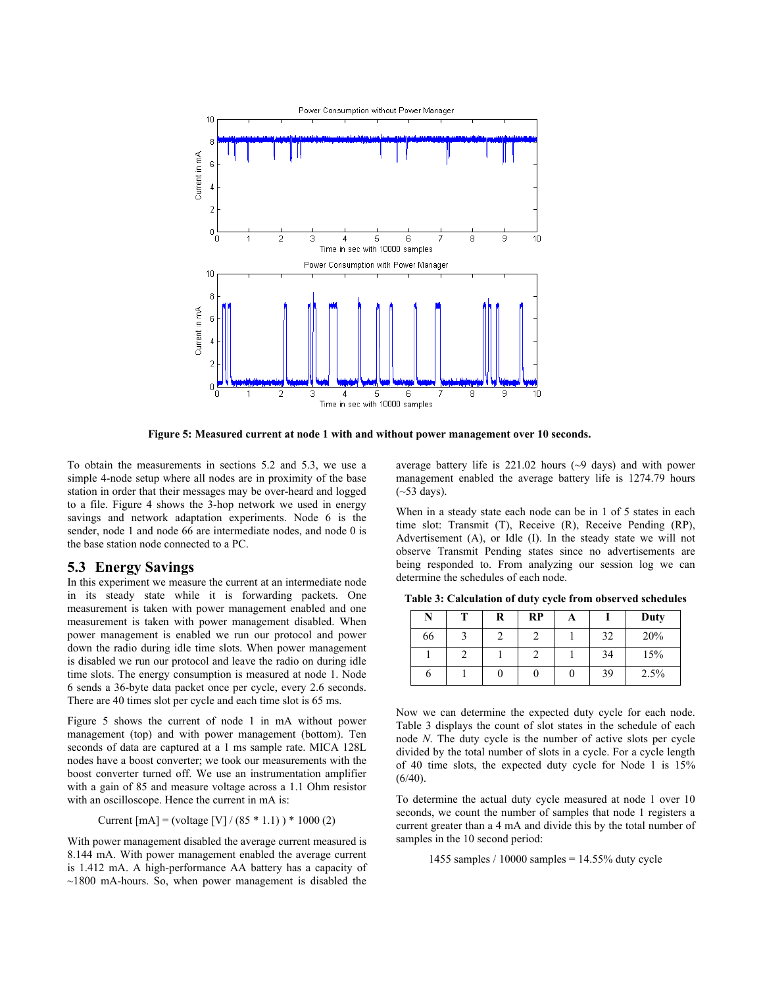

**Figure 5: Measured current at node 1 with and without power management over 10 seconds.** 

To obtain the measurements in sections 5.2 and 5.3, we use a simple 4-node setup where all nodes are in proximity of the base station in order that their messages may be over-heard and logged to a file. Figure 4 shows the 3-hop network we used in energy savings and network adaptation experiments. Node 6 is the sender, node 1 and node 66 are intermediate nodes, and node 0 is the base station node connected to a PC.

## **5.3 Energy Savings**

In this experiment we measure the current at an intermediate node in its steady state while it is forwarding packets. One measurement is taken with power management enabled and one measurement is taken with power management disabled. When power management is enabled we run our protocol and power down the radio during idle time slots. When power management is disabled we run our protocol and leave the radio on during idle time slots. The energy consumption is measured at node 1. Node 6 sends a 36-byte data packet once per cycle, every 2.6 seconds. There are 40 times slot per cycle and each time slot is 65 ms.

Figure 5 shows the current of node 1 in mA without power management (top) and with power management (bottom). Ten seconds of data are captured at a 1 ms sample rate. MICA 128L nodes have a boost converter; we took our measurements with the boost converter turned off. We use an instrumentation amplifier with a gain of 85 and measure voltage across a 1.1 Ohm resistor with an oscilloscope. Hence the current in mA is:

Current [mA] = (voltage [V] / (85 \* 1.1) ) \* 1000 (2)

With power management disabled the average current measured is 8.144 mA. With power management enabled the average current is 1.412 mA. A high-performance AA battery has a capacity of  $\sim$ 1800 mA-hours. So, when power management is disabled the

average battery life is 221.02 hours (~9 days) and with power management enabled the average battery life is 1274.79 hours  $(\sim 53$  days).

When in a steady state each node can be in 1 of 5 states in each time slot: Transmit (T), Receive (R), Receive Pending (RP), Advertisement (A), or Idle (I). In the steady state we will not observe Transmit Pending states since no advertisements are being responded to. From analyzing our session log we can determine the schedules of each node.

**Table 3: Calculation of duty cycle from observed schedules** 

| N  | т | R | RP | А |    | Duty |
|----|---|---|----|---|----|------|
| 66 |   |   |    |   | 32 | 20%  |
|    |   |   |    |   | 34 | 15%  |
|    |   |   |    |   | 39 | 2.5% |

Now we can determine the expected duty cycle for each node. Table 3 displays the count of slot states in the schedule of each node *N*. The duty cycle is the number of active slots per cycle divided by the total number of slots in a cycle. For a cycle length of 40 time slots, the expected duty cycle for Node 1 is 15%  $(6/40)$ .

To determine the actual duty cycle measured at node 1 over 10 seconds, we count the number of samples that node 1 registers a current greater than a 4 mA and divide this by the total number of samples in the 10 second period:

1455 samples  $/ 10000$  samples = 14.55% duty cycle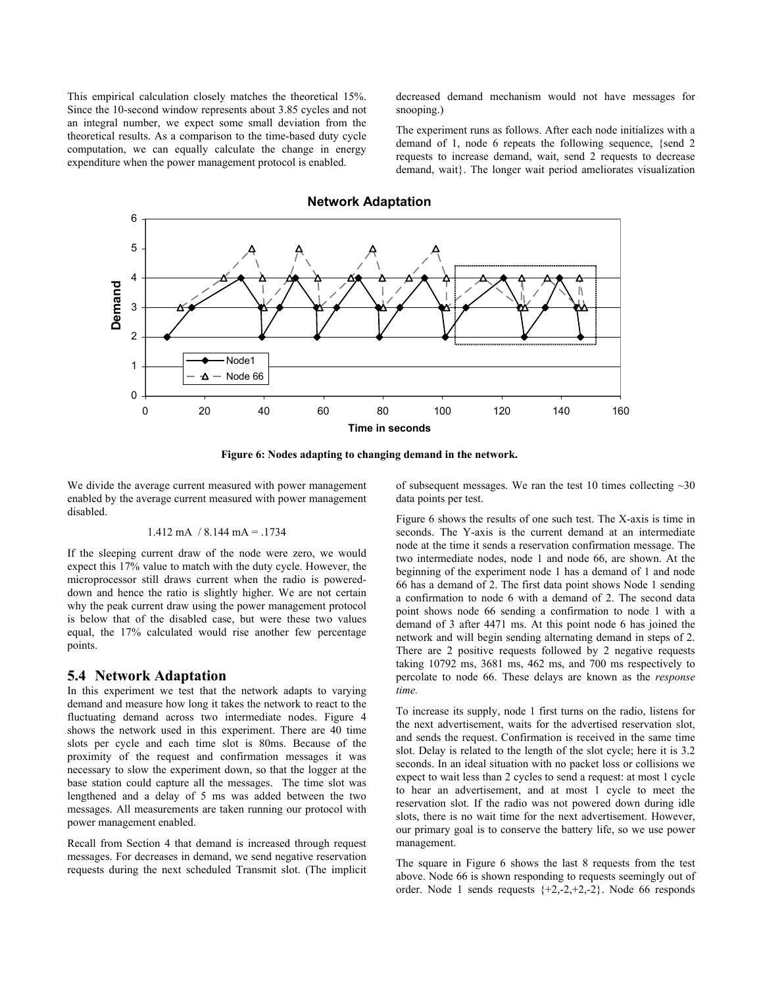This empirical calculation closely matches the theoretical 15%. Since the 10-second window represents about 3.85 cycles and not an integral number, we expect some small deviation from the theoretical results. As a comparison to the time-based duty cycle computation, we can equally calculate the change in energy expenditure when the power management protocol is enabled.

decreased demand mechanism would not have messages for snooping.)

The experiment runs as follows. After each node initializes with a demand of 1, node 6 repeats the following sequence, {send 2 requests to increase demand, wait, send 2 requests to decrease demand, wait}. The longer wait period ameliorates visualization



**Figure 6: Nodes adapting to changing demand in the network.** 

We divide the average current measured with power management enabled by the average current measured with power management disabled.

#### $1.412$  mA  $/ 8.144$  mA =  $.1734$

If the sleeping current draw of the node were zero, we would expect this 17% value to match with the duty cycle. However, the microprocessor still draws current when the radio is powereddown and hence the ratio is slightly higher. We are not certain why the peak current draw using the power management protocol is below that of the disabled case, but were these two values equal, the 17% calculated would rise another few percentage points.

### **5.4 Network Adaptation**

In this experiment we test that the network adapts to varying demand and measure how long it takes the network to react to the fluctuating demand across two intermediate nodes. Figure 4 shows the network used in this experiment. There are 40 time slots per cycle and each time slot is 80ms. Because of the proximity of the request and confirmation messages it was necessary to slow the experiment down, so that the logger at the base station could capture all the messages. The time slot was lengthened and a delay of 5 ms was added between the two messages. All measurements are taken running our protocol with power management enabled.

Recall from Section 4 that demand is increased through request messages. For decreases in demand, we send negative reservation requests during the next scheduled Transmit slot. (The implicit

of subsequent messages. We ran the test 10 times collecting ~30 data points per test.

Figure 6 shows the results of one such test. The X-axis is time in seconds. The Y-axis is the current demand at an intermediate node at the time it sends a reservation confirmation message. The two intermediate nodes, node 1 and node 66, are shown. At the beginning of the experiment node 1 has a demand of 1 and node 66 has a demand of 2. The first data point shows Node 1 sending a confirmation to node 6 with a demand of 2. The second data point shows node 66 sending a confirmation to node 1 with a demand of 3 after 4471 ms. At this point node 6 has joined the network and will begin sending alternating demand in steps of 2. There are 2 positive requests followed by 2 negative requests taking 10792 ms, 3681 ms, 462 ms, and 700 ms respectively to percolate to node 66. These delays are known as the *response time.* 

To increase its supply, node 1 first turns on the radio, listens for the next advertisement, waits for the advertised reservation slot, and sends the request. Confirmation is received in the same time slot. Delay is related to the length of the slot cycle; here it is 3.2 seconds. In an ideal situation with no packet loss or collisions we expect to wait less than 2 cycles to send a request: at most 1 cycle to hear an advertisement, and at most 1 cycle to meet the reservation slot. If the radio was not powered down during idle slots, there is no wait time for the next advertisement. However, our primary goal is to conserve the battery life, so we use power management.

The square in Figure 6 shows the last 8 requests from the test above. Node 66 is shown responding to requests seemingly out of order. Node 1 sends requests  $\{+2,-2,+2,-2\}$ . Node 66 responds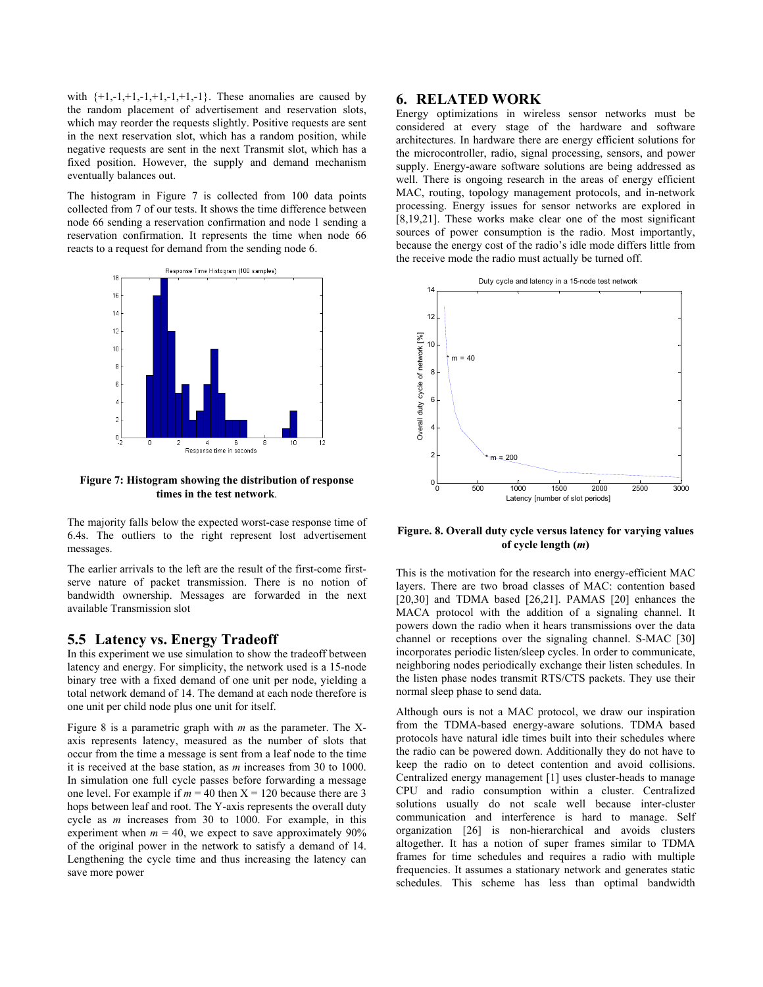with  $\{+1,-1,+1,-1,+1,-1,+1,-1\}$ . These anomalies are caused by the random placement of advertisement and reservation slots, which may reorder the requests slightly. Positive requests are sent in the next reservation slot, which has a random position, while negative requests are sent in the next Transmit slot, which has a fixed position. However, the supply and demand mechanism eventually balances out.

The histogram in Figure 7 is collected from 100 data points collected from 7 of our tests. It shows the time difference between node 66 sending a reservation confirmation and node 1 sending a reservation confirmation. It represents the time when node 66 reacts to a request for demand from the sending node 6.



**Figure 7: Histogram showing the distribution of response times in the test network**.

The majority falls below the expected worst-case response time of 6.4s. The outliers to the right represent lost advertisement messages.

The earlier arrivals to the left are the result of the first-come firstserve nature of packet transmission. There is no notion of bandwidth ownership. Messages are forwarded in the next available Transmission slot

# **5.5 Latency vs. Energy Tradeoff**

In this experiment we use simulation to show the tradeoff between latency and energy. For simplicity, the network used is a 15-node binary tree with a fixed demand of one unit per node, yielding a total network demand of 14. The demand at each node therefore is one unit per child node plus one unit for itself.

Figure 8 is a parametric graph with *m* as the parameter. The Xaxis represents latency, measured as the number of slots that occur from the time a message is sent from a leaf node to the time it is received at the base station, as *m* increases from 30 to 1000. In simulation one full cycle passes before forwarding a message one level. For example if  $m = 40$  then  $X = 120$  because there are 3 hops between leaf and root. The Y-axis represents the overall duty cycle as *m* increases from 30 to 1000. For example, in this experiment when  $m = 40$ , we expect to save approximately 90% of the original power in the network to satisfy a demand of 14. Lengthening the cycle time and thus increasing the latency can save more power

### **6. RELATED WORK**

Energy optimizations in wireless sensor networks must be considered at every stage of the hardware and software architectures. In hardware there are energy efficient solutions for the microcontroller, radio, signal processing, sensors, and power supply. Energy-aware software solutions are being addressed as well. There is ongoing research in the areas of energy efficient MAC, routing, topology management protocols, and in-network processing. Energy issues for sensor networks are explored in [8,19,21]. These works make clear one of the most significant sources of power consumption is the radio. Most importantly, because the energy cost of the radio's idle mode differs little from the receive mode the radio must actually be turned off.



**Figure. 8. Overall duty cycle versus latency for varying values of cycle length (***m***)** 

This is the motivation for the research into energy-efficient MAC layers. There are two broad classes of MAC: contention based [20,30] and TDMA based [26,21]. PAMAS [20] enhances the MACA protocol with the addition of a signaling channel. It powers down the radio when it hears transmissions over the data channel or receptions over the signaling channel. S-MAC [30] incorporates periodic listen/sleep cycles. In order to communicate, neighboring nodes periodically exchange their listen schedules. In the listen phase nodes transmit RTS/CTS packets. They use their normal sleep phase to send data.

Although ours is not a MAC protocol, we draw our inspiration from the TDMA-based energy-aware solutions. TDMA based protocols have natural idle times built into their schedules where the radio can be powered down. Additionally they do not have to keep the radio on to detect contention and avoid collisions. Centralized energy management [1] uses cluster-heads to manage CPU and radio consumption within a cluster. Centralized solutions usually do not scale well because inter-cluster communication and interference is hard to manage. Self organization [26] is non-hierarchical and avoids clusters altogether. It has a notion of super frames similar to TDMA frames for time schedules and requires a radio with multiple frequencies. It assumes a stationary network and generates static schedules. This scheme has less than optimal bandwidth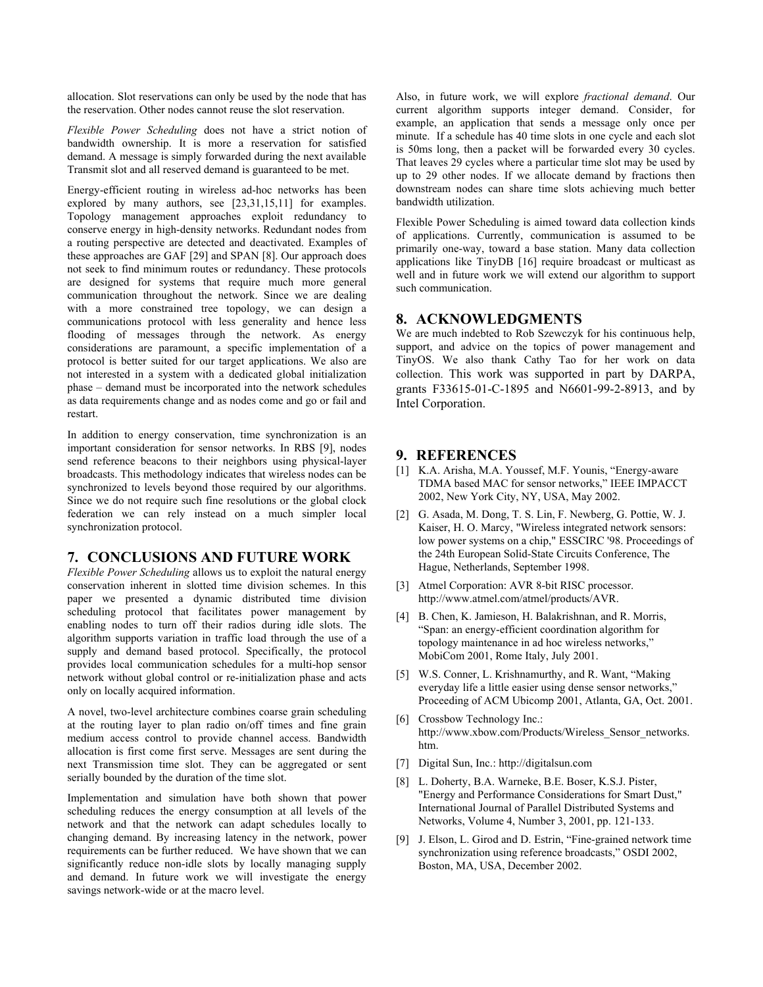allocation. Slot reservations can only be used by the node that has the reservation. Other nodes cannot reuse the slot reservation.

*Flexible Power Scheduling* does not have a strict notion of bandwidth ownership. It is more a reservation for satisfied demand. A message is simply forwarded during the next available Transmit slot and all reserved demand is guaranteed to be met.

Energy-efficient routing in wireless ad-hoc networks has been explored by many authors, see [23,31,15,11] for examples. Topology management approaches exploit redundancy to conserve energy in high-density networks. Redundant nodes from a routing perspective are detected and deactivated. Examples of these approaches are GAF [29] and SPAN [8]. Our approach does not seek to find minimum routes or redundancy. These protocols are designed for systems that require much more general communication throughout the network. Since we are dealing with a more constrained tree topology, we can design a communications protocol with less generality and hence less flooding of messages through the network. As energy considerations are paramount, a specific implementation of a protocol is better suited for our target applications. We also are not interested in a system with a dedicated global initialization phase – demand must be incorporated into the network schedules as data requirements change and as nodes come and go or fail and restart.

In addition to energy conservation, time synchronization is an important consideration for sensor networks. In RBS [9], nodes send reference beacons to their neighbors using physical-layer broadcasts. This methodology indicates that wireless nodes can be synchronized to levels beyond those required by our algorithms. Since we do not require such fine resolutions or the global clock federation we can rely instead on a much simpler local synchronization protocol.

# **7. CONCLUSIONS AND FUTURE WORK**

*Flexible Power Scheduling* allows us to exploit the natural energy conservation inherent in slotted time division schemes. In this paper we presented a dynamic distributed time division scheduling protocol that facilitates power management by enabling nodes to turn off their radios during idle slots. The algorithm supports variation in traffic load through the use of a supply and demand based protocol. Specifically, the protocol provides local communication schedules for a multi-hop sensor network without global control or re-initialization phase and acts only on locally acquired information.

A novel, two-level architecture combines coarse grain scheduling at the routing layer to plan radio on/off times and fine grain medium access control to provide channel access. Bandwidth allocation is first come first serve. Messages are sent during the next Transmission time slot. They can be aggregated or sent serially bounded by the duration of the time slot.

Implementation and simulation have both shown that power scheduling reduces the energy consumption at all levels of the network and that the network can adapt schedules locally to changing demand. By increasing latency in the network, power requirements can be further reduced. We have shown that we can significantly reduce non-idle slots by locally managing supply and demand. In future work we will investigate the energy savings network-wide or at the macro level.

Also, in future work, we will explore *fractional demand*. Our current algorithm supports integer demand. Consider, for example, an application that sends a message only once per minute. If a schedule has 40 time slots in one cycle and each slot is 50ms long, then a packet will be forwarded every 30 cycles. That leaves 29 cycles where a particular time slot may be used by up to 29 other nodes. If we allocate demand by fractions then downstream nodes can share time slots achieving much better bandwidth utilization.

Flexible Power Scheduling is aimed toward data collection kinds of applications. Currently, communication is assumed to be primarily one-way, toward a base station. Many data collection applications like TinyDB [16] require broadcast or multicast as well and in future work we will extend our algorithm to support such communication.

# **8. ACKNOWLEDGMENTS**

We are much indebted to Rob Szewczyk for his continuous help, support, and advice on the topics of power management and TinyOS. We also thank Cathy Tao for her work on data collection. This work was supported in part by DARPA, grants F33615-01-C-1895 and N6601-99-2-8913, and by Intel Corporation.

# **9. REFERENCES**

- [1] K.A. Arisha, M.A. Youssef, M.F. Younis, "Energy-aware TDMA based MAC for sensor networks," IEEE IMPACCT 2002, New York City, NY, USA, May 2002.
- [2] G. Asada, M. Dong, T. S. Lin, F. Newberg, G. Pottie, W. J. Kaiser, H. O. Marcy, "Wireless integrated network sensors: low power systems on a chip," ESSCIRC '98. Proceedings of the 24th European Solid-State Circuits Conference, The Hague, Netherlands, September 1998.
- [3] Atmel Corporation: AVR 8-bit RISC processor. http://www.atmel.com/atmel/products/AVR.
- [4] B. Chen, K. Jamieson, H. Balakrishnan, and R. Morris, "Span: an energy-efficient coordination algorithm for topology maintenance in ad hoc wireless networks," MobiCom 2001, Rome Italy, July 2001.
- [5] W.S. Conner, L. Krishnamurthy, and R. Want, "Making everyday life a little easier using dense sensor networks," Proceeding of ACM Ubicomp 2001, Atlanta, GA, Oct. 2001.
- [6] Crossbow Technology Inc.: http://www.xbow.com/Products/Wireless\_Sensor\_networks. htm.
- [7] Digital Sun, Inc.: http://digitalsun.com
- [8] L. Doherty, B.A. Warneke, B.E. Boser, K.S.J. Pister, "Energy and Performance Considerations for Smart Dust," International Journal of Parallel Distributed Systems and Networks, Volume 4, Number 3, 2001, pp. 121-133.
- [9] J. Elson, L. Girod and D. Estrin, "Fine-grained network time synchronization using reference broadcasts," OSDI 2002, Boston, MA, USA, December 2002.